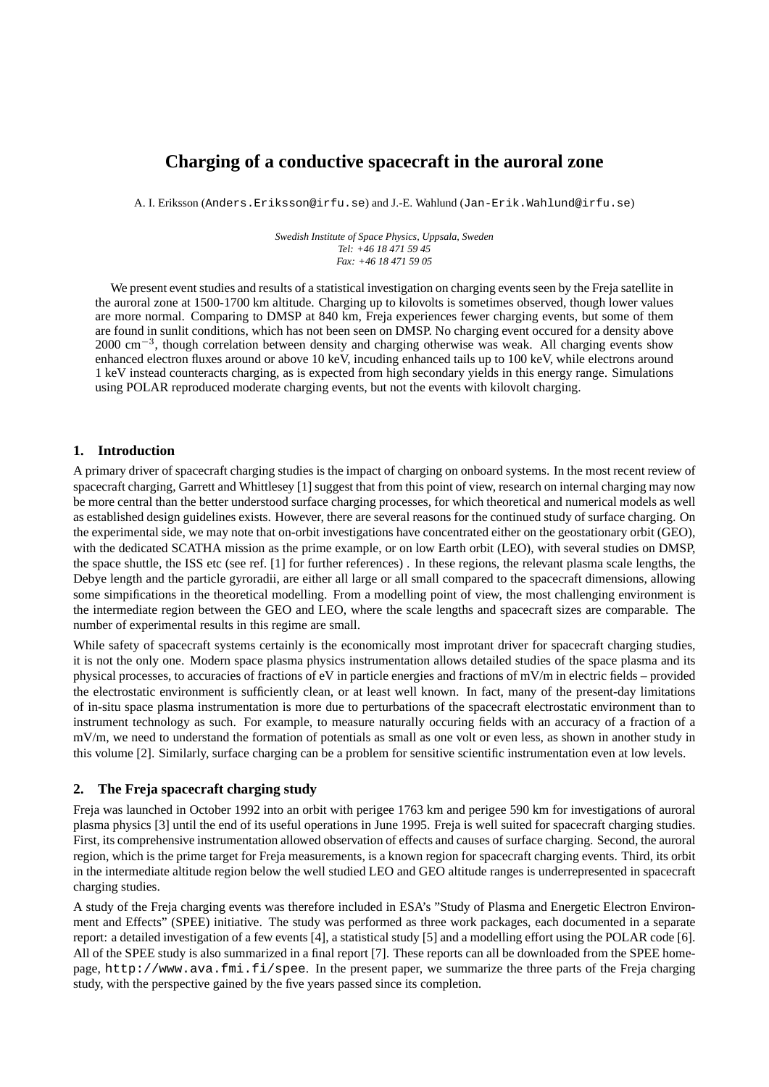# **Charging of a conductive spacecraft in the auroral zone**

A. I. Eriksson (Anders.Eriksson@irfu.se) and J.-E. Wahlund (Jan-Erik.Wahlund@irfu.se)

*Swedish Institute of Space Physics, Uppsala, Sweden Tel: +46 18 471 59 45 Fax: +46 18 471 59 05*

We present event studies and results of a statistical investigation on charging events seen by the Freja satellite in the auroral zone at 1500-1700 km altitude. Charging up to kilovolts is sometimes observed, though lower values are more normal. Comparing to DMSP at 840 km, Freja experiences fewer charging events, but some of them are found in sunlit conditions, which has not been seen on DMSP. No charging event occured for a density above 2000 cm<sup>-3</sup>, though correlation between density and charging otherwise was weak. All charging events show enhanced electron fluxes around or above 10 keV, incuding enhanced tails up to 100 keV, while electrons around 1 keV instead counteracts charging, as is expected from high secondary yields in this energy range. Simulations using POLAR reproduced moderate charging events, but not the events with kilovolt charging.

# **1. Introduction**

A primary driver of spacecraft charging studies is the impact of charging on onboard systems. In the most recent review of spacecraft charging, Garrett and Whittlesey [1] suggest that from this point of view, research on internal charging may now be more central than the better understood surface charging processes, for which theoretical and numerical models as well as established design guidelines exists. However, there are several reasons for the continued study of surface charging. On the experimental side, we may note that on-orbit investigations have concentrated either on the geostationary orbit (GEO), with the dedicated SCATHA mission as the prime example, or on low Earth orbit (LEO), with several studies on DMSP, the space shuttle, the ISS etc (see ref. [1] for further references) . In these regions, the relevant plasma scale lengths, the Debye length and the particle gyroradii, are either all large or all small compared to the spacecraft dimensions, allowing some simpifications in the theoretical modelling. From a modelling point of view, the most challenging environment is the intermediate region between the GEO and LEO, where the scale lengths and spacecraft sizes are comparable. The number of experimental results in this regime are small.

While safety of spacecraft systems certainly is the economically most improtant driver for spacecraft charging studies, it is not the only one. Modern space plasma physics instrumentation allows detailed studies of the space plasma and its physical processes, to accuracies of fractions of eV in particle energies and fractions of mV/m in electric fields – provided the electrostatic environment is sufficiently clean, or at least well known. In fact, many of the present-day limitations of in-situ space plasma instrumentation is more due to perturbations of the spacecraft electrostatic environment than to instrument technology as such. For example, to measure naturally occuring fields with an accuracy of a fraction of a mV/m, we need to understand the formation of potentials as small as one volt or even less, as shown in another study in this volume [2]. Similarly, surface charging can be a problem for sensitive scientific instrumentation even at low levels.

### **2. The Freja spacecraft charging study**

Freja was launched in October 1992 into an orbit with perigee 1763 km and perigee 590 km for investigations of auroral plasma physics [3] until the end of its useful operations in June 1995. Freja is well suited for spacecraft charging studies. First, its comprehensive instrumentation allowed observation of effects and causes of surface charging. Second, the auroral region, which is the prime target for Freja measurements, is a known region for spacecraft charging events. Third, its orbit in the intermediate altitude region below the well studied LEO and GEO altitude ranges is underrepresented in spacecraft charging studies.

A study of the Freja charging events was therefore included in ESA's "Study of Plasma and Energetic Electron Environment and Effects" (SPEE) initiative. The study was performed as three work packages, each documented in a separate report: a detailed investigation of a few events [4], a statistical study [5] and a modelling effort using the POLAR code [6]. All of the SPEE study is also summarized in a final report [7]. These reports can all be downloaded from the SPEE homepage, http://www.ava.fmi.fi/spee. In the present paper, we summarize the three parts of the Freja charging study, with the perspective gained by the five years passed since its completion.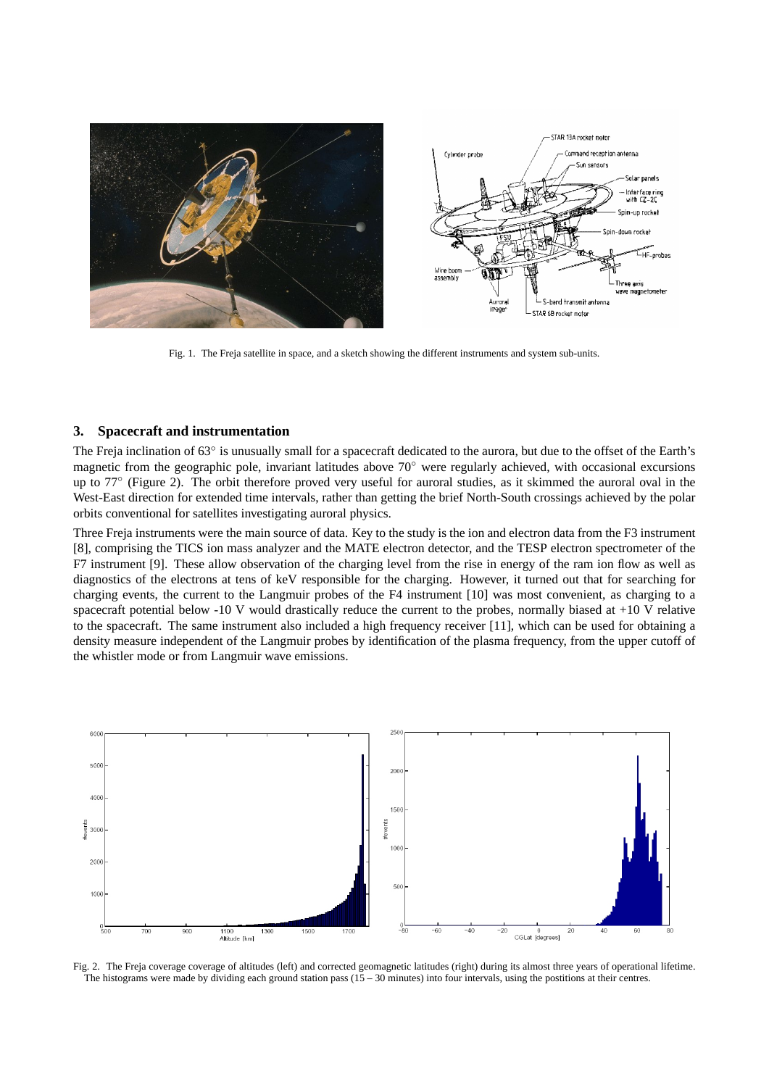

Fig. 1. The Freja satellite in space, and a sketch showing the different instruments and system sub-units.

#### **3. Spacecraft and instrumentation**

The Freja inclination of 63° is unusually small for a spacecraft dedicated to the aurora, but due to the offset of the Earth's magnetic from the geographic pole, invariant latitudes above 70◦ were regularly achieved, with occasional excursions up to 77° (Figure 2). The orbit therefore proved very useful for auroral studies, as it skimmed the auroral oval in the West-East direction for extended time intervals, rather than getting the brief North-South crossings achieved by the polar orbits conventional for satellites investigating auroral physics.

Three Freja instruments were the main source of data. Key to the study is the ion and electron data from the F3 instrument [8], comprising the TICS ion mass analyzer and the MATE electron detector, and the TESP electron spectrometer of the F7 instrument [9]. These allow observation of the charging level from the rise in energy of the ram ion flow as well as diagnostics of the electrons at tens of keV responsible for the charging. However, it turned out that for searching for charging events, the current to the Langmuir probes of the F4 instrument [10] was most convenient, as charging to a spacecraft potential below  $-10$  V would drastically reduce the current to the probes, normally biased at  $+10$  V relative to the spacecraft. The same instrument also included a high frequency receiver [11], which can be used for obtaining a density measure independent of the Langmuir probes by identification of the plasma frequency, from the upper cutoff of the whistler mode or from Langmuir wave emissions.



Fig. 2. The Freja coverage coverage of altitudes (left) and corrected geomagnetic latitudes (right) during its almost three years of operational lifetime. The histograms were made by dividing each ground station pass  $(15 - 30 \text{ minutes})$  into four intervals, using the postitions at their centres.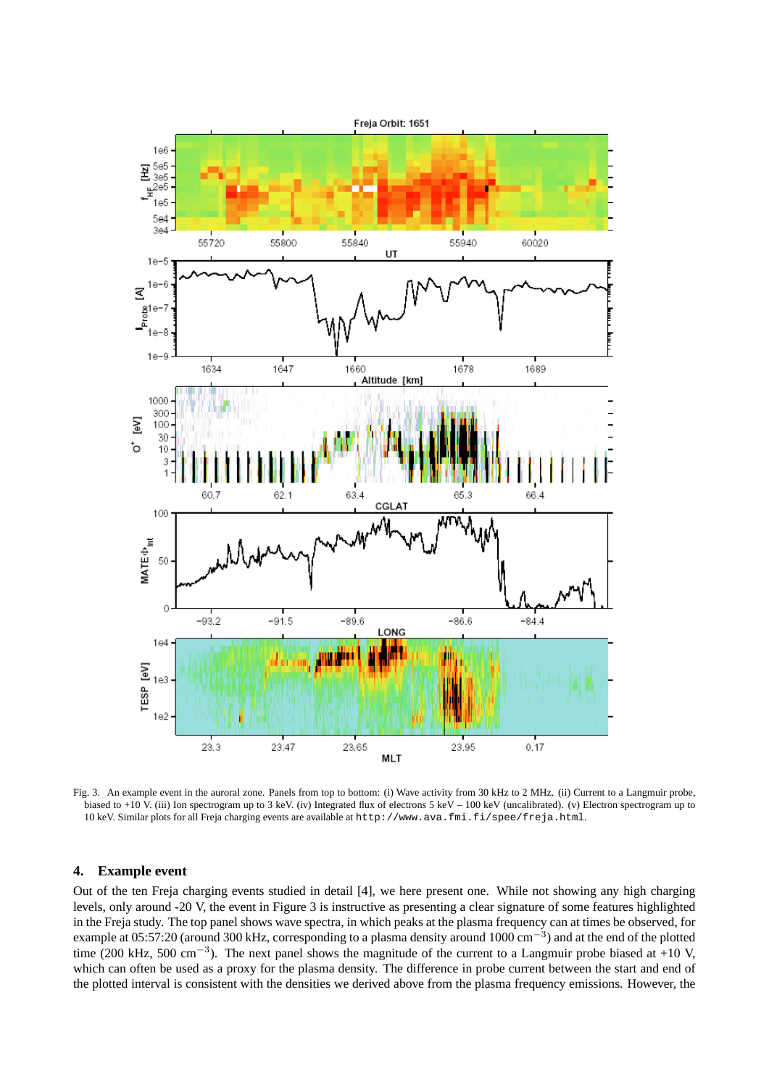

Fig. 3. An example event in the auroral zone. Panels from top to bottom: (i) Wave activity from 30 kHz to 2 MHz. (ii) Current to a Langmuir probe, biased to +10 V. (iii) Ion spectrogram up to 3 keV. (iv) Integrated flux of electrons 5 keV – 100 keV (uncalibrated). (v) Electron spectrogram up to 10 keV. Similar plots for all Freja charging events are available at http://www.ava.fmi.fi/spee/freja.html.

### **4. Example event**

Out of the ten Freja charging events studied in detail [4], we here present one. While not showing any high charging levels, only around -20 V, the event in Figure 3 is instructive as presenting a clear signature of some features highlighted in the Freja study. The top panel shows wave spectra, in which peaks at the plasma frequency can at times be observed, for example at 05:57:20 (around 300 kHz, corresponding to a plasma density around  $1000$  cm<sup>-3</sup>) and at the end of the plotted time (200 kHz, 500 cm<sup>-3</sup>). The next panel shows the magnitude of the current to a Langmuir probe biased at +10 V, which can often be used as a proxy for the plasma density. The difference in probe current between the start and end of the plotted interval is consistent with the densities we derived above from the plasma frequency emissions. However, the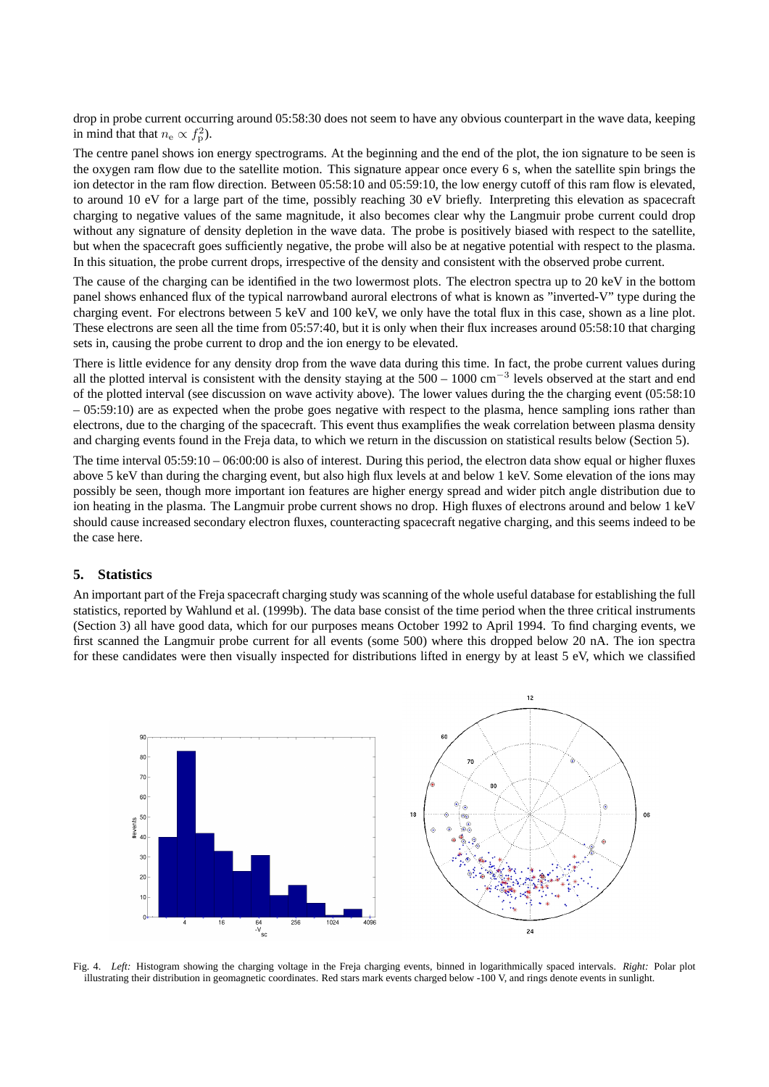drop in probe current occurring around 05:58:30 does not seem to have any obvious counterpart in the wave data, keeping in mind that that  $n_e \propto f_p^2$ ).

The centre panel shows ion energy spectrograms. At the beginning and the end of the plot, the ion signature to be seen is the oxygen ram flow due to the satellite motion. This signature appear once every 6 s, when the satellite spin brings the ion detector in the ram flow direction. Between 05:58:10 and 05:59:10, the low energy cutoff of this ram flow is elevated, to around 10 eV for a large part of the time, possibly reaching 30 eV briefly. Interpreting this elevation as spacecraft charging to negative values of the same magnitude, it also becomes clear why the Langmuir probe current could drop without any signature of density depletion in the wave data. The probe is positively biased with respect to the satellite, but when the spacecraft goes sufficiently negative, the probe will also be at negative potential with respect to the plasma. In this situation, the probe current drops, irrespective of the density and consistent with the observed probe current.

The cause of the charging can be identified in the two lowermost plots. The electron spectra up to 20 keV in the bottom panel shows enhanced flux of the typical narrowband auroral electrons of what is known as "inverted-V" type during the charging event. For electrons between 5 keV and 100 keV, we only have the total flux in this case, shown as a line plot. These electrons are seen all the time from 05:57:40, but it is only when their flux increases around 05:58:10 that charging sets in, causing the probe current to drop and the ion energy to be elevated.

There is little evidence for any density drop from the wave data during this time. In fact, the probe current values during all the plotted interval is consistent with the density staying at the  $500 - 1000$  cm<sup>-3</sup> levels observed at the start and end of the plotted interval (see discussion on wave activity above). The lower values during the the charging event (05:58:10  $-05:59:10$ ) are as expected when the probe goes negative with respect to the plasma, hence sampling ions rather than electrons, due to the charging of the spacecraft. This event thus examplifies the weak correlation between plasma density and charging events found in the Freja data, to which we return in the discussion on statistical results below (Section 5).

The time interval 05:59:10 – 06:00:00 is also of interest. During this period, the electron data show equal or higher fluxes above 5 keV than during the charging event, but also high flux levels at and below 1 keV. Some elevation of the ions may possibly be seen, though more important ion features are higher energy spread and wider pitch angle distribution due to ion heating in the plasma. The Langmuir probe current shows no drop. High fluxes of electrons around and below 1 keV should cause increased secondary electron fluxes, counteracting spacecraft negative charging, and this seems indeed to be the case here.

#### **5. Statistics**

An important part of the Freja spacecraft charging study was scanning of the whole useful database for establishing the full statistics, reported by Wahlund et al. (1999b). The data base consist of the time period when the three critical instruments (Section 3) all have good data, which for our purposes means October 1992 to April 1994. To find charging events, we first scanned the Langmuir probe current for all events (some 500) where this dropped below 20 nA. The ion spectra for these candidates were then visually inspected for distributions lifted in energy by at least 5 eV, which we classified



Fig. 4. *Left:* Histogram showing the charging voltage in the Freja charging events, binned in logarithmically spaced intervals. *Right:* Polar plot illustrating their distribution in geomagnetic coordinates. Red stars mark events charged below -100 V, and rings denote events in sunlight.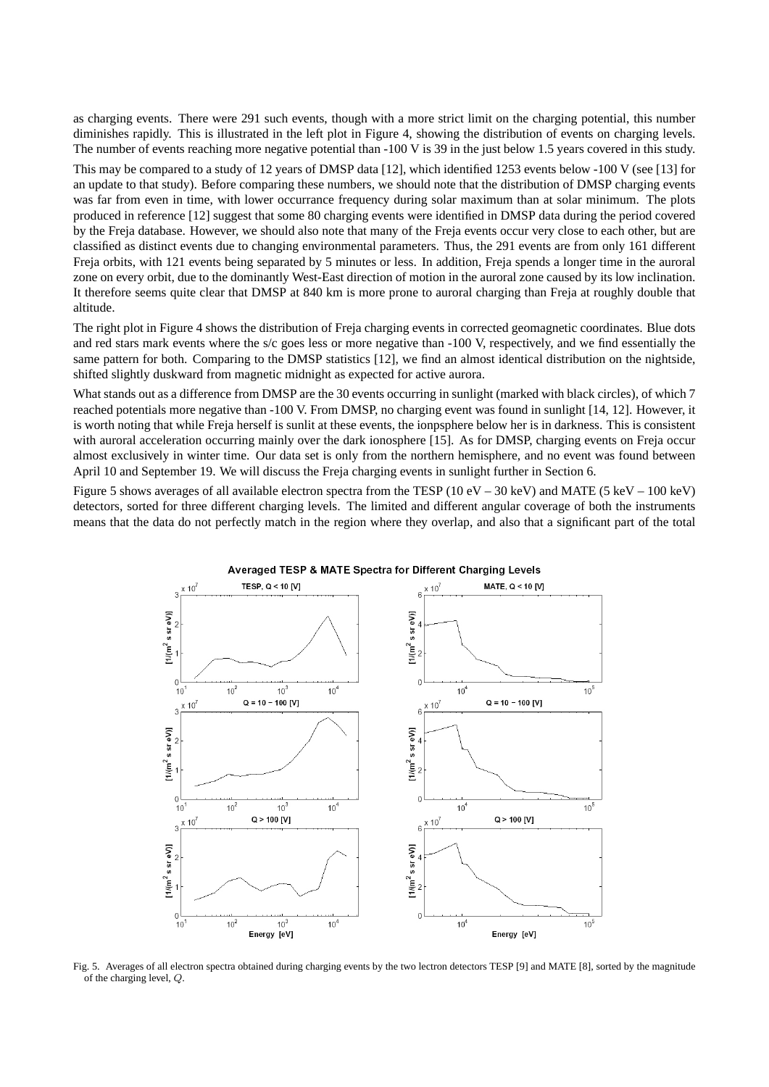as charging events. There were 291 such events, though with a more strict limit on the charging potential, this number diminishes rapidly. This is illustrated in the left plot in Figure 4, showing the distribution of events on charging levels. The number of events reaching more negative potential than -100 V is 39 in the just below 1.5 years covered in this study. This may be compared to a study of 12 years of DMSP data [12], which identified 1253 events below -100 V (see [13] for an update to that study). Before comparing these numbers, we should note that the distribution of DMSP charging events was far from even in time, with lower occurrance frequency during solar maximum than at solar minimum. The plots produced in reference [12] suggest that some 80 charging events were identified in DMSP data during the period covered by the Freja database. However, we should also note that many of the Freja events occur very close to each other, but are classified as distinct events due to changing environmental parameters. Thus, the 291 events are from only 161 different Freja orbits, with 121 events being separated by 5 minutes or less. In addition, Freja spends a longer time in the auroral zone on every orbit, due to the dominantly West-East direction of motion in the auroral zone caused by its low inclination. It therefore seems quite clear that DMSP at 840 km is more prone to auroral charging than Freja at roughly double that

The right plot in Figure 4 shows the distribution of Freja charging events in corrected geomagnetic coordinates. Blue dots and red stars mark events where the s/c goes less or more negative than -100 V, respectively, and we find essentially the same pattern for both. Comparing to the DMSP statistics [12], we find an almost identical distribution on the nightside, shifted slightly duskward from magnetic midnight as expected for active aurora.

altitude.

What stands out as a difference from DMSP are the 30 events occurring in sunlight (marked with black circles), of which 7 reached potentials more negative than -100 V. From DMSP, no charging event was found in sunlight [14, 12]. However, it is worth noting that while Freja herself is sunlit at these events, the ionpsphere below her is in darkness. This is consistent with auroral acceleration occurring mainly over the dark ionosphere [15]. As for DMSP, charging events on Freja occur almost exclusively in winter time. Our data set is only from the northern hemisphere, and no event was found between April 10 and September 19. We will discuss the Freja charging events in sunlight further in Section 6.

Figure 5 shows averages of all available electron spectra from the TESP (10 eV – 30 keV) and MATE (5 keV – 100 keV) detectors, sorted for three different charging levels. The limited and different angular coverage of both the instruments means that the data do not perfectly match in the region where they overlap, and also that a significant part of the total



Averaged TESP & MATE Spectra for Different Charging Levels

Fig. 5. Averages of all electron spectra obtained during charging events by the two lectron detectors TESP [9] and MATE [8], sorted by the magnitude of the charging level, Q.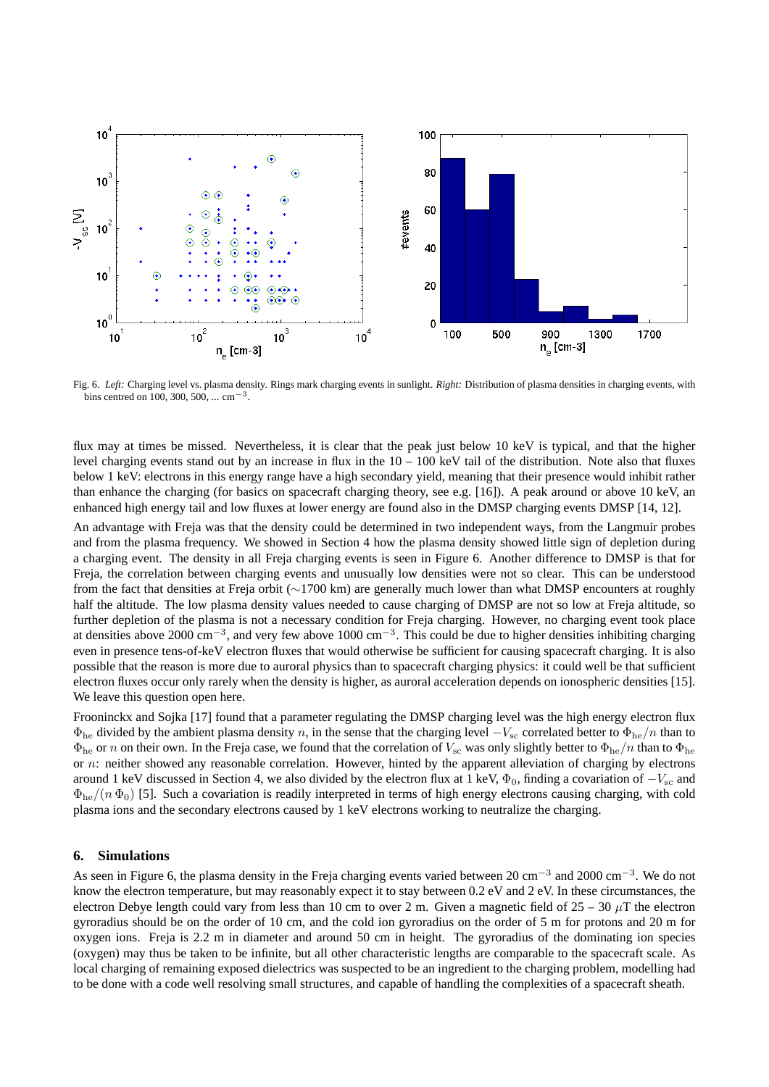

Fig. 6. *Left:* Charging level vs. plasma density. Rings mark charging events in sunlight. *Right:* Distribution of plasma densities in charging events, with bins centred on 100, 300, 500, ... cm<sup>-3</sup>.

flux may at times be missed. Nevertheless, it is clear that the peak just below 10 keV is typical, and that the higher level charging events stand out by an increase in flux in the  $10 - 100$  keV tail of the distribution. Note also that fluxes below 1 keV: electrons in this energy range have a high secondary yield, meaning that their presence would inhibit rather than enhance the charging (for basics on spacecraft charging theory, see e.g. [16]). A peak around or above 10 keV, an enhanced high energy tail and low fluxes at lower energy are found also in the DMSP charging events DMSP [14, 12].

An advantage with Freja was that the density could be determined in two independent ways, from the Langmuir probes and from the plasma frequency. We showed in Section 4 how the plasma density showed little sign of depletion during a charging event. The density in all Freja charging events is seen in Figure 6. Another difference to DMSP is that for Freja, the correlation between charging events and unusually low densities were not so clear. This can be understood from the fact that densities at Freja orbit (∼1700 km) are generally much lower than what DMSP encounters at roughly half the altitude. The low plasma density values needed to cause charging of DMSP are not so low at Freja altitude, so further depletion of the plasma is not a necessary condition for Freja charging. However, no charging event took place at densities above 2000 cm<sup>-3</sup>, and very few above 1000 cm<sup>-3</sup>. This could be due to higher densities inhibiting charging even in presence tens-of-keV electron fluxes that would otherwise be sufficient for causing spacecraft charging. It is also possible that the reason is more due to auroral physics than to spacecraft charging physics: it could well be that sufficient electron fluxes occur only rarely when the density is higher, as auroral acceleration depends on ionospheric densities [15]. We leave this question open here.

Frooninckx and Sojka [17] found that a parameter regulating the DMSP charging level was the high energy electron flux  $\Phi_{he}$  divided by the ambient plasma density n, in the sense that the charging level  $-V_{sc}$  correlated better to  $\Phi_{he}/n$  than to  $\Phi_{he}$  or n on their own. In the Freja case, we found that the correlation of  $V_{sc}$  was only slightly better to  $\Phi_{he}/n$  than to  $\Phi_{he}$ or n: neither showed any reasonable correlation. However, hinted by the apparent alleviation of charging by electrons around 1 keV discussed in Section 4, we also divided by the electron flux at 1 keV,  $\Phi_0$ , finding a covariation of  $-V_{\text{sc}}$  and  $\Phi_{\rm he}/(n \Phi_0)$  [5]. Such a covariation is readily interpreted in terms of high energy electrons causing charging, with cold plasma ions and the secondary electrons caused by 1 keV electrons working to neutralize the charging.

## **6. Simulations**

As seen in Figure 6, the plasma density in the Freja charging events varied between 20 cm<sup>-3</sup> and 2000 cm<sup>-3</sup>. We do not know the electron temperature, but may reasonably expect it to stay between 0.2 eV and 2 eV. In these circumstances, the electron Debye length could vary from less than 10 cm to over 2 m. Given a magnetic field of  $25 - 30 \mu$ T the electron gyroradius should be on the order of 10 cm, and the cold ion gyroradius on the order of 5 m for protons and 20 m for oxygen ions. Freja is 2.2 m in diameter and around 50 cm in height. The gyroradius of the dominating ion species (oxygen) may thus be taken to be infinite, but all other characteristic lengths are comparable to the spacecraft scale. As local charging of remaining exposed dielectrics was suspected to be an ingredient to the charging problem, modelling had to be done with a code well resolving small structures, and capable of handling the complexities of a spacecraft sheath.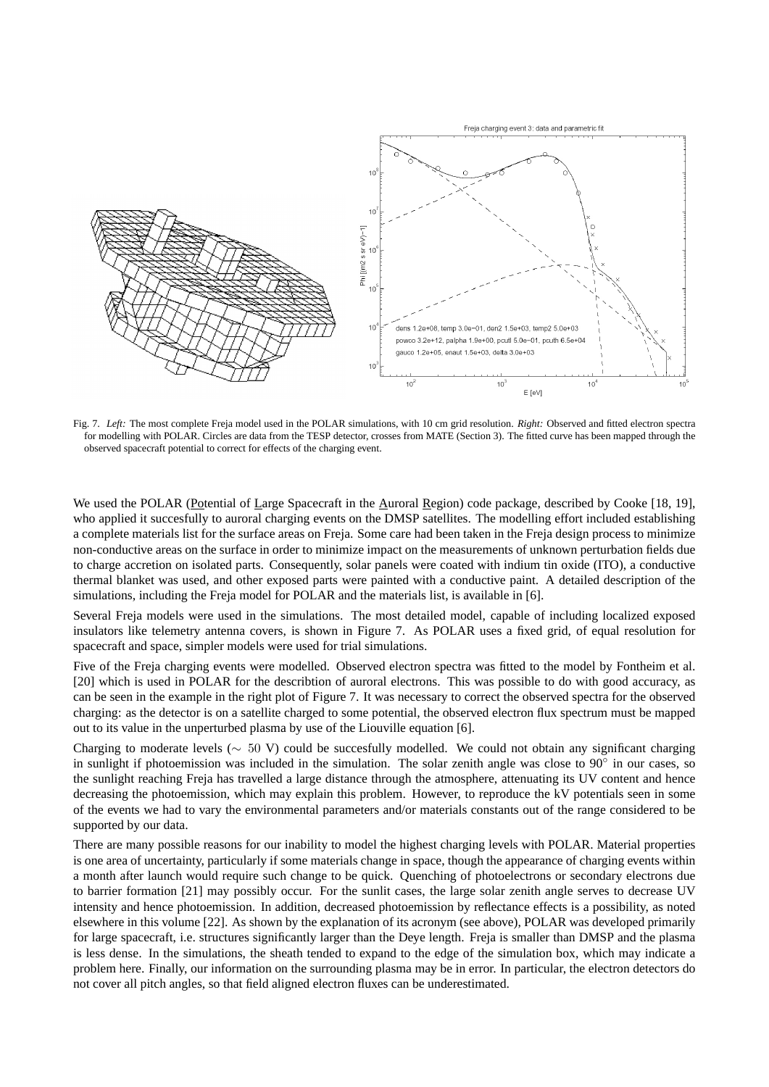

Fig. 7. *Left:* The most complete Freja model used in the POLAR simulations, with 10 cm grid resolution. *Right:* Observed and fitted electron spectra for modelling with POLAR. Circles are data from the TESP detector, crosses from MATE (Section 3). The fitted curve has been mapped through the observed spacecraft potential to correct for effects of the charging event.

We used the POLAR (Potential of Large Spacecraft in the Auroral Region) code package, described by Cooke [18, 19], who applied it succesfully to auroral charging events on the DMSP satellites. The modelling effort included establishing a complete materials list for the surface areas on Freja. Some care had been taken in the Freja design process to minimize non-conductive areas on the surface in order to minimize impact on the measurements of unknown perturbation fields due to charge accretion on isolated parts. Consequently, solar panels were coated with indium tin oxide (ITO), a conductive thermal blanket was used, and other exposed parts were painted with a conductive paint. A detailed description of the simulations, including the Freja model for POLAR and the materials list, is available in [6].

Several Freja models were used in the simulations. The most detailed model, capable of including localized exposed insulators like telemetry antenna covers, is shown in Figure 7. As POLAR uses a fixed grid, of equal resolution for spacecraft and space, simpler models were used for trial simulations.

Five of the Freja charging events were modelled. Observed electron spectra was fitted to the model by Fontheim et al. [20] which is used in POLAR for the describtion of auroral electrons. This was possible to do with good accuracy, as can be seen in the example in the right plot of Figure 7. It was necessary to correct the observed spectra for the observed charging: as the detector is on a satellite charged to some potential, the observed electron flux spectrum must be mapped out to its value in the unperturbed plasma by use of the Liouville equation [6].

Charging to moderate levels (∼ 50 V) could be succesfully modelled. We could not obtain any significant charging in sunlight if photoemission was included in the simulation. The solar zenith angle was close to 90° in our cases, so the sunlight reaching Freja has travelled a large distance through the atmosphere, attenuating its UV content and hence decreasing the photoemission, which may explain this problem. However, to reproduce the kV potentials seen in some of the events we had to vary the environmental parameters and/or materials constants out of the range considered to be supported by our data.

There are many possible reasons for our inability to model the highest charging levels with POLAR. Material properties is one area of uncertainty, particularly if some materials change in space, though the appearance of charging events within a month after launch would require such change to be quick. Quenching of photoelectrons or secondary electrons due to barrier formation [21] may possibly occur. For the sunlit cases, the large solar zenith angle serves to decrease UV intensity and hence photoemission. In addition, decreased photoemission by reflectance effects is a possibility, as noted elsewhere in this volume [22]. As shown by the explanation of its acronym (see above), POLAR was developed primarily for large spacecraft, i.e. structures significantly larger than the Deye length. Freja is smaller than DMSP and the plasma is less dense. In the simulations, the sheath tended to expand to the edge of the simulation box, which may indicate a problem here. Finally, our information on the surrounding plasma may be in error. In particular, the electron detectors do not cover all pitch angles, so that field aligned electron fluxes can be underestimated.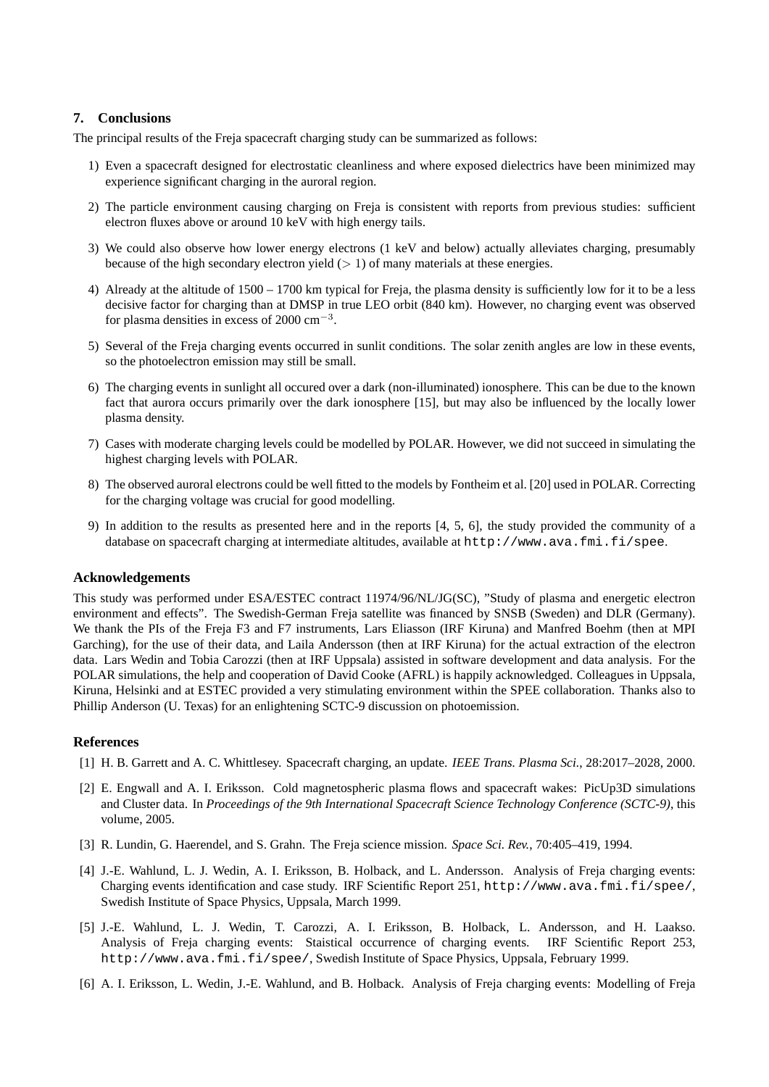# **7. Conclusions**

The principal results of the Freja spacecraft charging study can be summarized as follows:

- 1) Even a spacecraft designed for electrostatic cleanliness and where exposed dielectrics have been minimized may experience significant charging in the auroral region.
- 2) The particle environment causing charging on Freja is consistent with reports from previous studies: sufficient electron fluxes above or around 10 keV with high energy tails.
- 3) We could also observe how lower energy electrons (1 keV and below) actually alleviates charging, presumably because of the high secondary electron yield  $(> 1)$  of many materials at these energies.
- 4) Already at the altitude of 1500 1700 km typical for Freja, the plasma density is sufficiently low for it to be a less decisive factor for charging than at DMSP in true LEO orbit (840 km). However, no charging event was observed for plasma densities in excess of 2000  $\text{cm}^{-3}$ .
- 5) Several of the Freja charging events occurred in sunlit conditions. The solar zenith angles are low in these events, so the photoelectron emission may still be small.
- 6) The charging events in sunlight all occured over a dark (non-illuminated) ionosphere. This can be due to the known fact that aurora occurs primarily over the dark ionosphere [15], but may also be influenced by the locally lower plasma density.
- 7) Cases with moderate charging levels could be modelled by POLAR. However, we did not succeed in simulating the highest charging levels with POLAR.
- 8) The observed auroral electrons could be well fitted to the models by Fontheim et al. [20] used in POLAR. Correcting for the charging voltage was crucial for good modelling.
- 9) In addition to the results as presented here and in the reports [4, 5, 6], the study provided the community of a database on spacecraft charging at intermediate altitudes, available at  $http://www.ava.fmi.fi/spee.$

# **Acknowledgements**

This study was performed under ESA/ESTEC contract 11974/96/NL/JG(SC), "Study of plasma and energetic electron environment and effects". The Swedish-German Freja satellite was financed by SNSB (Sweden) and DLR (Germany). We thank the PIs of the Freja F3 and F7 instruments, Lars Eliasson (IRF Kiruna) and Manfred Boehm (then at MPI Garching), for the use of their data, and Laila Andersson (then at IRF Kiruna) for the actual extraction of the electron data. Lars Wedin and Tobia Carozzi (then at IRF Uppsala) assisted in software development and data analysis. For the POLAR simulations, the help and cooperation of David Cooke (AFRL) is happily acknowledged. Colleagues in Uppsala, Kiruna, Helsinki and at ESTEC provided a very stimulating environment within the SPEE collaboration. Thanks also to Phillip Anderson (U. Texas) for an enlightening SCTC-9 discussion on photoemission.

# **References**

- [1] H. B. Garrett and A. C. Whittlesey. Spacecraft charging, an update. *IEEE Trans. Plasma Sci.*, 28:2017–2028, 2000.
- [2] E. Engwall and A. I. Eriksson. Cold magnetospheric plasma flows and spacecraft wakes: PicUp3D simulations and Cluster data. In *Proceedings of the 9th International Spacecraft Science Technology Conference (SCTC-9)*, this volume, 2005.
- [3] R. Lundin, G. Haerendel, and S. Grahn. The Freja science mission. *Space Sci. Rev.*, 70:405–419, 1994.
- [4] J.-E. Wahlund, L. J. Wedin, A. I. Eriksson, B. Holback, and L. Andersson. Analysis of Freja charging events: Charging events identification and case study. IRF Scientific Report 251, http://www.ava.fmi.fi/spee/, Swedish Institute of Space Physics, Uppsala, March 1999.
- [5] J.-E. Wahlund, L. J. Wedin, T. Carozzi, A. I. Eriksson, B. Holback, L. Andersson, and H. Laakso. Analysis of Freja charging events: Staistical occurrence of charging events. IRF Scientific Report 253, http://www.ava.fmi.fi/spee/, Swedish Institute of Space Physics, Uppsala, February 1999.
- [6] A. I. Eriksson, L. Wedin, J.-E. Wahlund, and B. Holback. Analysis of Freja charging events: Modelling of Freja